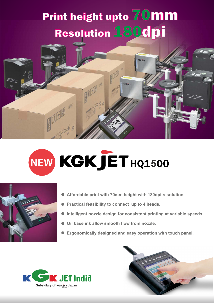## Resolution 180dpi Print height upto 70mm



## NEW KGK JET HQ1500



- Affordable print with 70mm height with 180dpi resolution.
- **Practical feasibility to connect up to 4 heads.**
- Intelligent nozzle design for consistent printing at variable speeds.
- **Oil base ink allow smooth flow from nozzle.**
- Ergonomically designed and easy operation with touch panel.